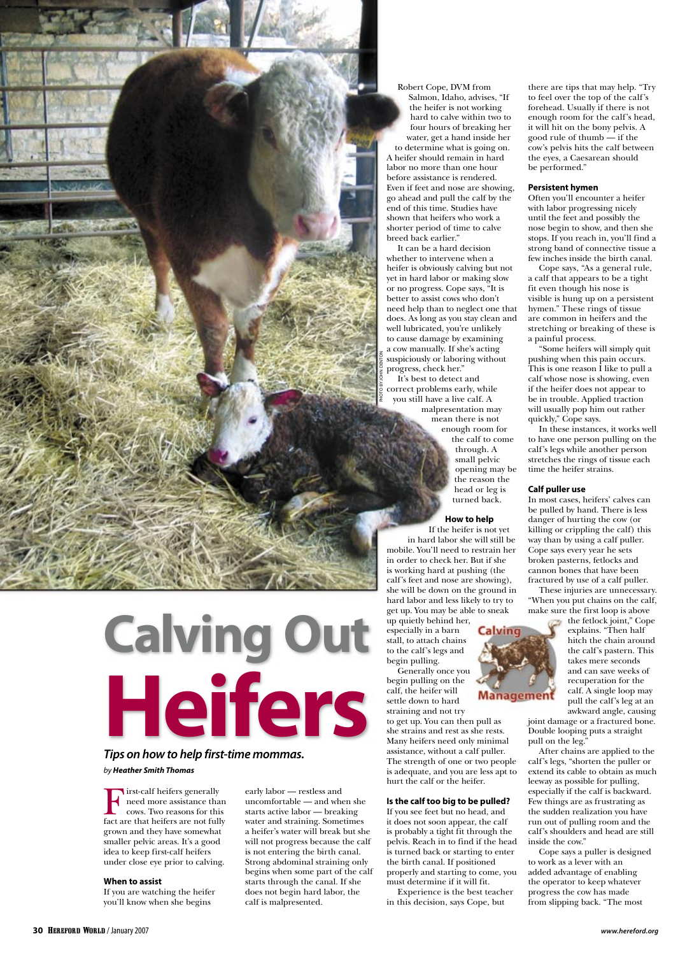**Calving Out Heifers** 

# **Tips on how to help first-time mommas.** by **Heather Smith Thomas**

First-calf heifers generally<br>
need more assistance than<br>
cows. Two reasons for this<br>
fact are that heifers are not fully need more assistance than fact are that heifers are not fully grown and they have somewhat smaller pelvic areas. It's a good idea to keep first-calf heifers under close eye prior to calving.

## **When to assist**

If you are watching the heifer you'll know when she begins

early labor — restless and uncomfortable — and when she starts active labor — breaking water and straining. Sometimes a heifer's water will break but she will not progress because the calf is not entering the birth canal. Strong abdominal straining only begins when some part of the calf starts through the canal. If she does not begin hard labor, the calf is malpresented.

Robert Cope, DVM from Salmon, Idaho, advises, "If the heifer is not working hard to calve within two to four hours of breaking her water, get a hand inside her to determine what is going on. A heifer should remain in hard labor no more than one hour before assistance is rendered. Even if feet and nose are showing, go ahead and pull the calf by the end of this time. Studies have shown that heifers who work a shorter period of time to calve breed back earlier.'

It can be a hard decision whether to intervene when a heifer is obviously calving but not yet in hard labor or making slow or no progress. Cope says, "It is better to assist cows who don't need help than to neglect one that does. As long as you stay clean and well lubricated, you're unlikely to cause damage by examining a cow manually. If she's acting suspiciously or laboring without progress, check her."

It's best to detect and correct problems early, while you still have a live calf. A malpresentation may

PHOTO BY JOHN DENTON

mean there is not enough room for the calf to come through. A small pelvic opening may be

the reason the head or leg is turned back.

## **How to help**

If the heifer is not yet in hard labor she will still be mobile. You'll need to restrain her in order to check her. But if she is working hard at pushing (the calf's feet and nose are showing), she will be down on the ground in hard labor and less likely to try to get up. You may be able to sneak

up quietly behind her, especially in a barn stall, to attach chains to the calf's legs and begin pulling.

Generally once you begin pulling on the calf, the heifer will settle down to hard straining and not try to get up. You can then pull as she strains and rest as she rests. Many heifers need only minimal assistance, without a calf puller. The strength of one or two people is adequate, and you are less apt to hurt the calf or the heifer.

### **Is the calf too big to be pulled?**

If you see feet but no head, and it does not soon appear, the calf is probably a tight fit through the pelvis. Reach in to find if the head is turned back or starting to enter the birth canal. If positioned properly and starting to come, you must determine if it will fit.

Experience is the best teacher in this decision, says Cope, but

there are tips that may help. "Try to feel over the top of the calf's forehead. Usually if there is not enough room for the calf's head, it will hit on the bony pelvis. A good rule of thumb $\overrightarrow{ }$  if the cow's pelvis hits the calf between the eyes, a Caesarean should be performed."

### **Persistent hymen**

Often you'll encounter a heifer with labor progressing nicely until the feet and possibly the nose begin to show, and then she stops. If you reach in, you'll find a strong band of connective tissue a few inches inside the birth canal.

Cope says, "As a general rule, a calf that appears to be a tight fit even though his nose is visible is hung up on a persistent hymen." These rings of tissue are common in heifers and the stretching or breaking of these is a painful process.

"Some heifers will simply quit pushing when this pain occurs. This is one reason I like to pull a calf whose nose is showing, even if the heifer does not appear to be in trouble. Applied traction will usually pop him out rather quickly," Cope says.

In these instances, it works well to have one person pulling on the calf's legs while another person stretches the rings of tissue each time the heifer strains.

#### **Calf puller use**

In most cases, heifers' calves can be pulled by hand. There is less danger of hurting the cow (or killing or crippling the calf) this way than by using a calf puller. Cope says every year he sets broken pasterns, fetlocks and cannon bones that have been fractured by use of a calf puller.

These injuries are unnecessary. "When you put chains on the calf, make sure the first loop is above



the fetlock joint," Cope explains. "Then half hitch the chain around the calf's pastern. This takes mere seconds and can save weeks of recuperation for the calf. A single loop may pull the calf's leg at an awkward angle, causing joint damage or a fractured bone.

Double looping puts a straight pull on the leg." After chains are applied to the

calf's legs, "shorten the puller or extend its cable to obtain as much leeway as possible for pulling, especially if the calf is backward. Few things are as frustrating as the sudden realization you have run out of pulling room and the calf's shoulders and head are still inside the cow."

Cope says a puller is designed to work as a lever with an added advantage of enabling the operator to keep whatever progress the cow has made from slipping back. "The most